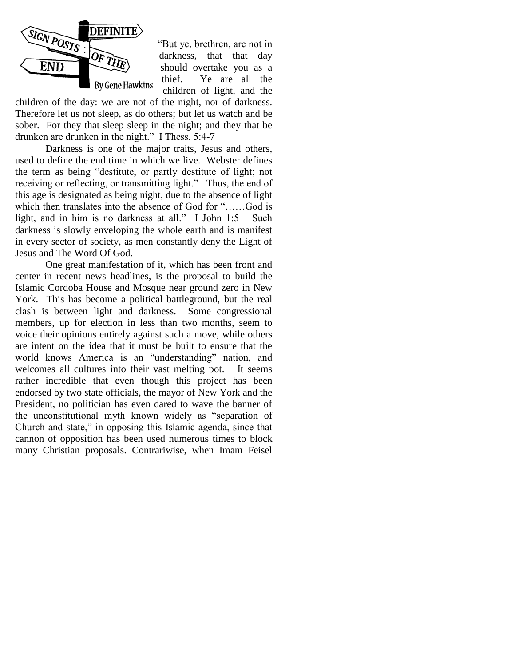

"But ye, brethren, are not in darkness, that that day should overtake you as a thief. Ye are all the children of light, and the

children of the day: we are not of the night, nor of darkness. Therefore let us not sleep, as do others; but let us watch and be sober. For they that sleep sleep in the night; and they that be drunken are drunken in the night." I Thess. 5:4-7

Darkness is one of the major traits, Jesus and others, used to define the end time in which we live. Webster defines the term as being "destitute, or partly destitute of light; not receiving or reflecting, or transmitting light." Thus, the end of this age is designated as being night, due to the absence of light which then translates into the absence of God for "……God is light, and in him is no darkness at all." I John 1:5 Such darkness is slowly enveloping the whole earth and is manifest in every sector of society, as men constantly deny the Light of Jesus and The Word Of God.

One great manifestation of it, which has been front and center in recent news headlines, is the proposal to build the Islamic Cordoba House and Mosque near ground zero in New York. This has become a political battleground, but the real clash is between light and darkness. Some congressional members, up for election in less than two months, seem to voice their opinions entirely against such a move, while others are intent on the idea that it must be built to ensure that the world knows America is an "understanding" nation, and welcomes all cultures into their vast melting pot. It seems rather incredible that even though this project has been endorsed by two state officials, the mayor of New York and the President, no politician has even dared to wave the banner of the unconstitutional myth known widely as "separation of Church and state," in opposing this Islamic agenda, since that cannon of opposition has been used numerous times to block many Christian proposals. Contrariwise, when Imam Feisel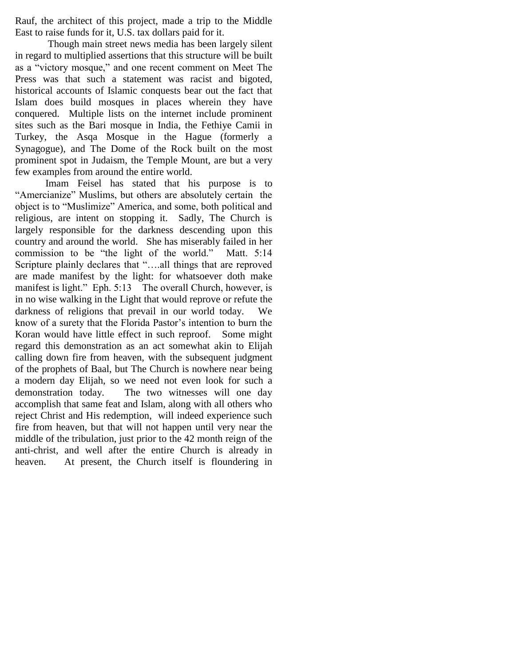Rauf, the architect of this project, made a trip to the Middle East to raise funds for it, U.S. tax dollars paid for it.

Though main street news media has been largely silent in regard to multiplied assertions that this structure will be built as a "victory mosque," and one recent comment on Meet The Press was that such a statement was racist and bigoted, historical accounts of Islamic conquests bear out the fact that Islam does build mosques in places wherein they have conquered. Multiple lists on the internet include prominent sites such as the Bari mosque in India, the Fethiye Camii in Turkey, the Asqa Mosque in the Hague (formerly a Synagogue), and The Dome of the Rock built on the most prominent spot in Judaism, the Temple Mount, are but a very few examples from around the entire world.

Imam Feisel has stated that his purpose is to "Amercianize" Muslims, but others are absolutely certain the object is to "Muslimize" America, and some, both political and religious, are intent on stopping it. Sadly, The Church is largely responsible for the darkness descending upon this country and around the world. She has miserably failed in her commission to be "the light of the world." Matt. 5:14 Scripture plainly declares that "....all things that are reproved are made manifest by the light: for whatsoever doth make manifest is light." Eph. 5:13 The overall Church, however, is in no wise walking in the Light that would reprove or refute the darkness of religions that prevail in our world today. We know of a surety that the Florida Pastor's intention to burn the Koran would have little effect in such reproof. Some might regard this demonstration as an act somewhat akin to Elijah calling down fire from heaven, with the subsequent judgment of the prophets of Baal, but The Church is nowhere near being a modern day Elijah, so we need not even look for such a demonstration today. The two witnesses will one day accomplish that same feat and Islam, along with all others who reject Christ and His redemption, will indeed experience such fire from heaven, but that will not happen until very near the middle of the tribulation, just prior to the 42 month reign of the anti-christ, and well after the entire Church is already in heaven. At present, the Church itself is floundering in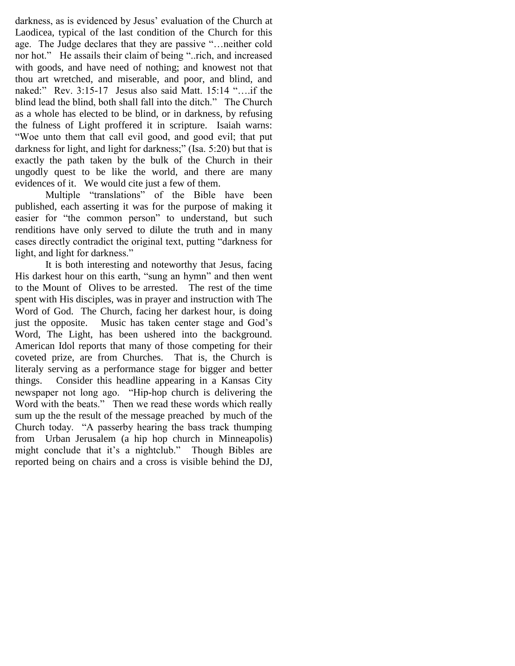darkness, as is evidenced by Jesus' evaluation of the Church at Laodicea, typical of the last condition of the Church for this age. The Judge declares that they are passive "…neither cold nor hot." He assails their claim of being "..rich, and increased with goods, and have need of nothing; and knowest not that thou art wretched, and miserable, and poor, and blind, and naked:" Rev. 3:15-17 Jesus also said Matt. 15:14 "….if the blind lead the blind, both shall fall into the ditch." The Church as a whole has elected to be blind, or in darkness, by refusing the fulness of Light proffered it in scripture. Isaiah warns: "Woe unto them that call evil good, and good evil; that put darkness for light, and light for darkness;" (Isa. 5:20) but that is exactly the path taken by the bulk of the Church in their ungodly quest to be like the world, and there are many evidences of it. We would cite just a few of them.

Multiple "translations" of the Bible have been published, each asserting it was for the purpose of making it easier for "the common person" to understand, but such renditions have only served to dilute the truth and in many cases directly contradict the original text, putting "darkness for light, and light for darkness."

It is both interesting and noteworthy that Jesus, facing His darkest hour on this earth, "sung an hymn" and then went to the Mount of Olives to be arrested. The rest of the time spent with His disciples, was in prayer and instruction with The Word of God. The Church, facing her darkest hour, is doing just the opposite. Music has taken center stage and God's Word, The Light, has been ushered into the background. American Idol reports that many of those competing for their coveted prize, are from Churches. That is, the Church is literaly serving as a performance stage for bigger and better things. Consider this headline appearing in a Kansas City newspaper not long ago. "Hip-hop church is delivering the Word with the beats." Then we read these words which really sum up the the result of the message preached by much of the Church today. "A passerby hearing the bass track thumping from Urban Jerusalem (a hip hop church in Minneapolis) might conclude that it's a nightclub." Though Bibles are reported being on chairs and a cross is visible behind the DJ,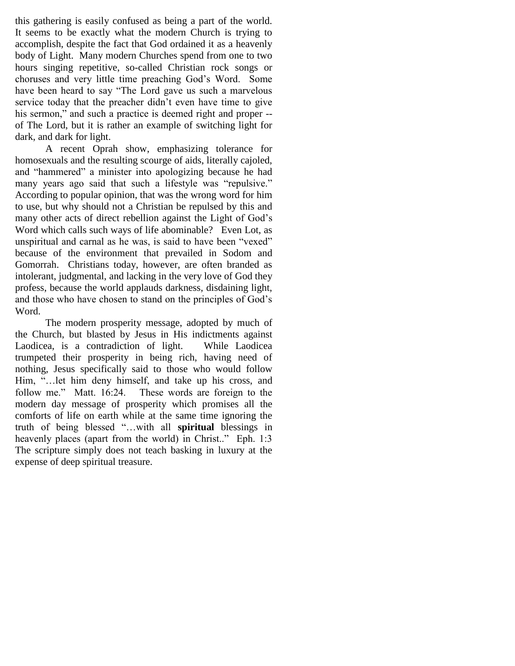this gathering is easily confused as being a part of the world. It seems to be exactly what the modern Church is trying to accomplish, despite the fact that God ordained it as a heavenly body of Light. Many modern Churches spend from one to two hours singing repetitive, so-called Christian rock songs or choruses and very little time preaching God"s Word. Some have been heard to say "The Lord gave us such a marvelous service today that the preacher didn"t even have time to give his sermon," and such a practice is deemed right and proper -of The Lord, but it is rather an example of switching light for dark, and dark for light.

A recent Oprah show, emphasizing tolerance for homosexuals and the resulting scourge of aids, literally cajoled, and "hammered" a minister into apologizing because he had many years ago said that such a lifestyle was "repulsive." According to popular opinion, that was the wrong word for him to use, but why should not a Christian be repulsed by this and many other acts of direct rebellion against the Light of God"s Word which calls such ways of life abominable? Even Lot, as unspiritual and carnal as he was, is said to have been "vexed" because of the environment that prevailed in Sodom and Gomorrah. Christians today, however, are often branded as intolerant, judgmental, and lacking in the very love of God they profess, because the world applauds darkness, disdaining light, and those who have chosen to stand on the principles of God"s Word.

The modern prosperity message, adopted by much of the Church, but blasted by Jesus in His indictments against Laodicea, is a contradiction of light. While Laodicea trumpeted their prosperity in being rich, having need of nothing, Jesus specifically said to those who would follow Him, "…let him deny himself, and take up his cross, and follow me." Matt. 16:24. These words are foreign to the modern day message of prosperity which promises all the comforts of life on earth while at the same time ignoring the truth of being blessed "…with all **spiritual** blessings in heavenly places (apart from the world) in Christ.." Eph. 1:3 The scripture simply does not teach basking in luxury at the expense of deep spiritual treasure.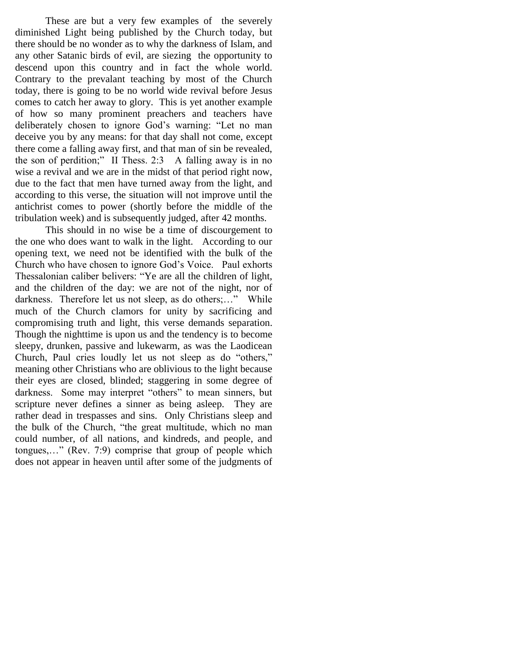These are but a very few examples of the severely diminished Light being published by the Church today, but there should be no wonder as to why the darkness of Islam, and any other Satanic birds of evil, are siezing the opportunity to descend upon this country and in fact the whole world. Contrary to the prevalant teaching by most of the Church today, there is going to be no world wide revival before Jesus comes to catch her away to glory. This is yet another example of how so many prominent preachers and teachers have deliberately chosen to ignore God's warning: "Let no man deceive you by any means: for that day shall not come, except there come a falling away first, and that man of sin be revealed, the son of perdition;" II Thess. 2:3 A falling away is in no wise a revival and we are in the midst of that period right now, due to the fact that men have turned away from the light, and according to this verse, the situation will not improve until the antichrist comes to power (shortly before the middle of the tribulation week) and is subsequently judged, after 42 months.

This should in no wise be a time of discourgement to the one who does want to walk in the light. According to our opening text, we need not be identified with the bulk of the Church who have chosen to ignore God"s Voice. Paul exhorts Thessalonian caliber belivers: "Ye are all the children of light, and the children of the day: we are not of the night, nor of darkness. Therefore let us not sleep, as do others;…" While much of the Church clamors for unity by sacrificing and compromising truth and light, this verse demands separation. Though the nighttime is upon us and the tendency is to become sleepy, drunken, passive and lukewarm, as was the Laodicean Church, Paul cries loudly let us not sleep as do "others," meaning other Christians who are oblivious to the light because their eyes are closed, blinded; staggering in some degree of darkness. Some may interpret "others" to mean sinners, but scripture never defines a sinner as being asleep. They are rather dead in trespasses and sins. Only Christians sleep and the bulk of the Church, "the great multitude, which no man could number, of all nations, and kindreds, and people, and tongues,…" (Rev. 7:9) comprise that group of people which does not appear in heaven until after some of the judgments of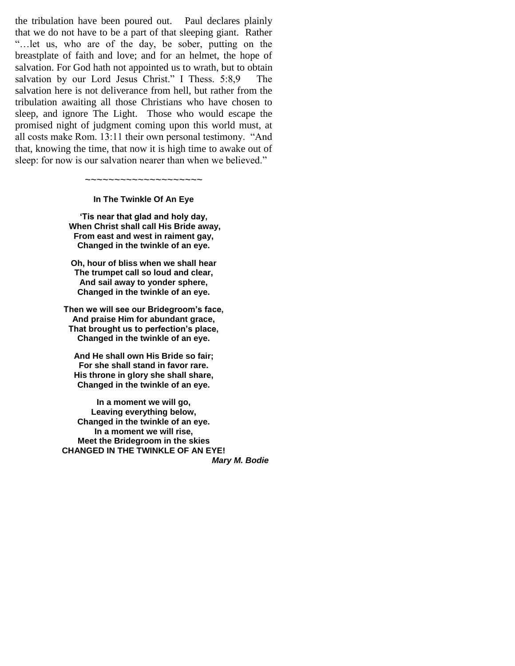the tribulation have been poured out. Paul declares plainly that we do not have to be a part of that sleeping giant. Rather "…let us, who are of the day, be sober, putting on the breastplate of faith and love; and for an helmet, the hope of salvation. For God hath not appointed us to wrath, but to obtain salvation by our Lord Jesus Christ." I Thess. 5:8,9 The salvation here is not deliverance from hell, but rather from the tribulation awaiting all those Christians who have chosen to sleep, and ignore The Light. Those who would escape the promised night of judgment coming upon this world must, at all costs make Rom. 13:11 their own personal testimony. "And that, knowing the time, that now it is high time to awake out of sleep: for now is our salvation nearer than when we believed."

> ~~~~~~~~~~~~~~~~~~~~ **In The Twinkle Of An Eye**

**'Tis near that glad and holy day, When Christ shall call His Bride away, From east and west in raiment gay, Changed in the twinkle of an eye.**

**Oh, hour of bliss when we shall hear The trumpet call so loud and clear, And sail away to yonder sphere, Changed in the twinkle of an eye.**

**Then we will see our Bridegroom's face, And praise Him for abundant grace, That brought us to perfection's place, Changed in the twinkle of an eye.**

**And He shall own His Bride so fair; For she shall stand in favor rare. His throne in glory she shall share, Changed in the twinkle of an eye.**

**In a moment we will go, Leaving everything below, Changed in the twinkle of an eye. In a moment we will rise, Meet the Bridegroom in the skies CHANGED IN THE TWINKLE OF AN EYE!** *Mary M. Bodie*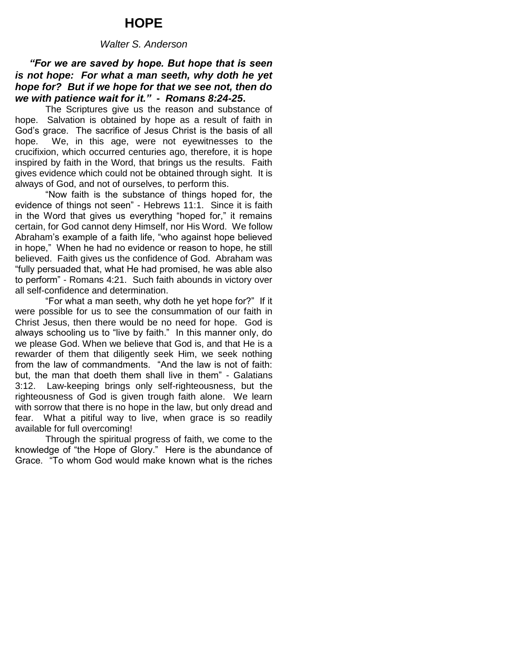## **HOPE**

#### *Walter S. Anderson*

## *"For we are saved by hope. But hope that is seen is not hope: For what a man seeth, why doth he yet hope for? But if we hope for that we see not, then do we with patience wait for it." - Romans 8:24-25***.**

The Scriptures give us the reason and substance of hope. Salvation is obtained by hope as a result of faith in God's grace. The sacrifice of Jesus Christ is the basis of all hope. We, in this age, were not eyewitnesses to the crucifixion, which occurred centuries ago, therefore, it is hope inspired by faith in the Word, that brings us the results. Faith gives evidence which could not be obtained through sight. It is always of God, and not of ourselves, to perform this.

"Now faith is the substance of things hoped for, the evidence of things not seen" - Hebrews 11:1. Since it is faith in the Word that gives us everything "hoped for," it remains certain, for God cannot deny Himself, nor His Word. We follow Abraham's example of a faith life, "who against hope believed in hope," When he had no evidence or reason to hope, he still believed. Faith gives us the confidence of God. Abraham was "fully persuaded that, what He had promised, he was able also to perform" - Romans 4:21. Such faith abounds in victory over all self-confidence and determination.

"For what a man seeth, why doth he yet hope for?" If it were possible for us to see the consummation of our faith in Christ Jesus, then there would be no need for hope. God is always schooling us to "live by faith." In this manner only, do we please God. When we believe that God is, and that He is a rewarder of them that diligently seek Him, we seek nothing from the law of commandments. "And the law is not of faith: but, the man that doeth them shall live in them" - Galatians 3:12. Law-keeping brings only self-righteousness, but the righteousness of God is given trough faith alone. We learn with sorrow that there is no hope in the law, but only dread and fear. What a pitiful way to live, when grace is so readily available for full overcoming!

Through the spiritual progress of faith, we come to the knowledge of "the Hope of Glory." Here is the abundance of Grace. "To whom God would make known what is the riches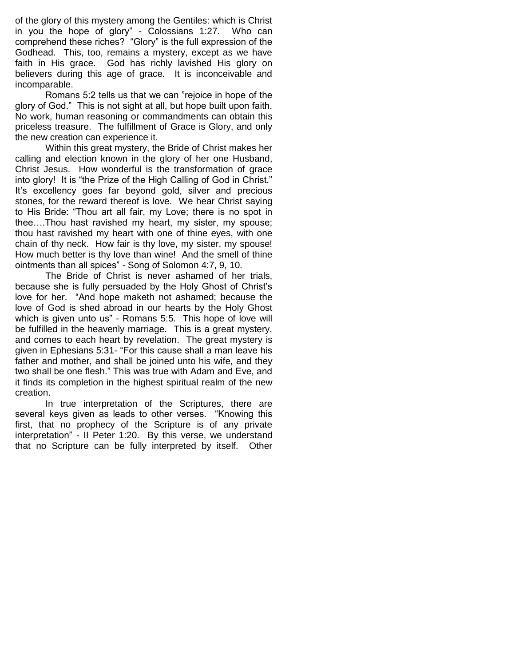of the glory of this mystery among the Gentiles: which is Christ in you the hope of glory" - Colossians 1:27. Who can comprehend these riches? "Glory" is the full expression of the Godhead. This, too, remains a mystery, except as we have faith in His grace. God has richly lavished His glory on believers during this age of grace. It is inconceivable and incomparable.

Romans 5:2 tells us that we can "rejoice in hope of the glory of God." This is not sight at all, but hope built upon faith. No work, human reasoning or commandments can obtain this priceless treasure. The fulfillment of Grace is Glory, and only the new creation can experience it.

Within this great mystery, the Bride of Christ makes her calling and election known in the glory of her one Husband, Christ Jesus. How wonderful is the transformation of grace into glory! It is "the Prize of the High Calling of God in Christ." It's excellency goes far beyond gold, silver and precious stones, for the reward thereof is love. We hear Christ saying to His Bride: "Thou art all fair, my Love; there is no spot in thee….Thou hast ravished my heart, my sister, my spouse; thou hast ravished my heart with one of thine eyes, with one chain of thy neck. How fair is thy love, my sister, my spouse! How much better is thy love than wine! And the smell of thine ointments than all spices" - Song of Solomon 4:7, 9, 10.

The Bride of Christ is never ashamed of her trials, because she is fully persuaded by the Holy Ghost of Christ's love for her. "And hope maketh not ashamed; because the love of God is shed abroad in our hearts by the Holy Ghost which is given unto us" - Romans 5:5. This hope of love will be fulfilled in the heavenly marriage. This is a great mystery, and comes to each heart by revelation. The great mystery is given in Ephesians 5:31- "For this cause shall a man leave his father and mother, and shall be joined unto his wife, and they two shall be one flesh." This was true with Adam and Eve, and it finds its completion in the highest spiritual realm of the new creation.

In true interpretation of the Scriptures, there are several keys given as leads to other verses. "Knowing this first, that no prophecy of the Scripture is of any private interpretation" - II Peter 1:20. By this verse, we understand that no Scripture can be fully interpreted by itself. Other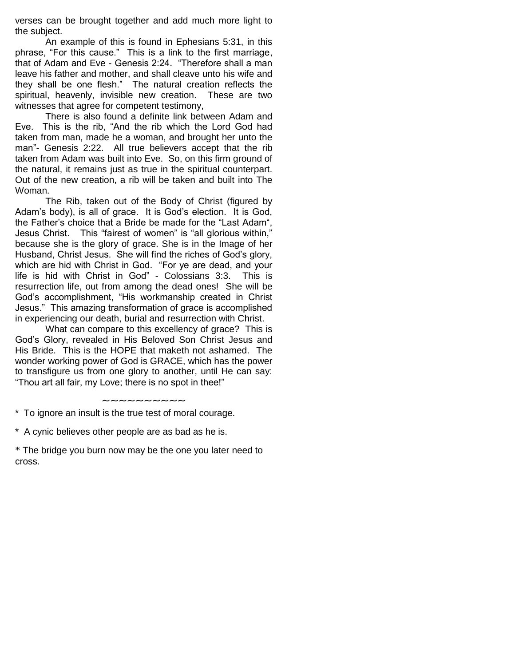verses can be brought together and add much more light to the subject.

An example of this is found in Ephesians 5:31, in this phrase, "For this cause." This is a link to the first marriage, that of Adam and Eve - Genesis 2:24. "Therefore shall a man leave his father and mother, and shall cleave unto his wife and they shall be one flesh." The natural creation reflects the spiritual, heavenly, invisible new creation. These are two witnesses that agree for competent testimony,

There is also found a definite link between Adam and Eve. This is the rib, "And the rib which the Lord God had taken from man, made he a woman, and brought her unto the man"- Genesis 2:22. All true believers accept that the rib taken from Adam was built into Eve. So, on this firm ground of the natural, it remains just as true in the spiritual counterpart. Out of the new creation, a rib will be taken and built into The Woman.

The Rib, taken out of the Body of Christ (figured by Adam's body), is all of grace. It is God's election. It is God, the Father's choice that a Bride be made for the "Last Adam", Jesus Christ. This "fairest of women" is "all glorious within," because she is the glory of grace. She is in the Image of her Husband, Christ Jesus. She will find the riches of God's glory, which are hid with Christ in God. "For ye are dead, and your life is hid with Christ in God" - Colossians 3:3. This is resurrection life, out from among the dead ones! She will be God's accomplishment, "His workmanship created in Christ Jesus." This amazing transformation of grace is accomplished in experiencing our death, burial and resurrection with Christ.

What can compare to this excellency of grace? This is God's Glory, revealed in His Beloved Son Christ Jesus and His Bride. This is the HOPE that maketh not ashamed. The wonder working power of God is GRACE, which has the power to transfigure us from one glory to another, until He can say: "Thou art all fair, my Love; there is no spot in thee!"

#### $\sim$ ~~~~~~~

\* To ignore an insult is the true test of moral courage.

\* A cynic believes other people are as bad as he is.

\* The bridge you burn now may be the one you later need to cross.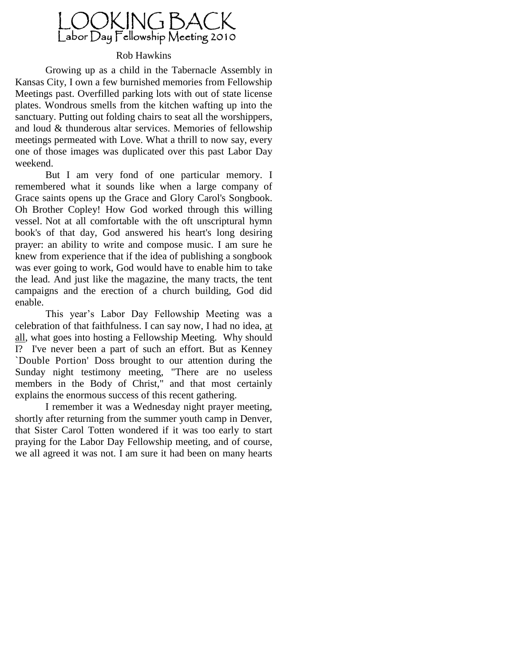

### Rob Hawkins

Growing up as a child in the Tabernacle Assembly in Kansas City, I own a few burnished memories from Fellowship Meetings past. Overfilled parking lots with out of state license plates. Wondrous smells from the kitchen wafting up into the sanctuary. Putting out folding chairs to seat all the worshippers, and loud & thunderous altar services. Memories of fellowship meetings permeated with Love. What a thrill to now say, every one of those images was duplicated over this past Labor Day weekend.

But I am very fond of one particular memory. I remembered what it sounds like when a large company of Grace saints opens up the Grace and Glory Carol's Songbook. Oh Brother Copley! How God worked through this willing vessel. Not at all comfortable with the oft unscriptural hymn book's of that day, God answered his heart's long desiring prayer: an ability to write and compose music. I am sure he knew from experience that if the idea of publishing a songbook was ever going to work, God would have to enable him to take the lead. And just like the magazine, the many tracts, the tent campaigns and the erection of a church building, God did enable.

This year"s Labor Day Fellowship Meeting was a celebration of that faithfulness. I can say now, I had no idea, at all, what goes into hosting a Fellowship Meeting. Why should I? I've never been a part of such an effort. But as Kenney `Double Portion' Doss brought to our attention during the Sunday night testimony meeting, "There are no useless members in the Body of Christ," and that most certainly explains the enormous success of this recent gathering.

I remember it was a Wednesday night prayer meeting, shortly after returning from the summer youth camp in Denver, that Sister Carol Totten wondered if it was too early to start praying for the Labor Day Fellowship meeting, and of course, we all agreed it was not. I am sure it had been on many hearts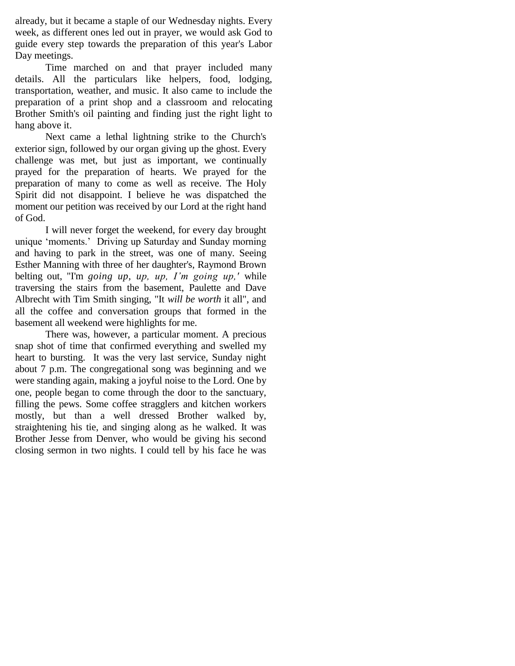already, but it became a staple of our Wednesday nights. Every week, as different ones led out in prayer, we would ask God to guide every step towards the preparation of this year's Labor Day meetings.

Time marched on and that prayer included many details. All the particulars like helpers, food, lodging, transportation, weather, and music. It also came to include the preparation of a print shop and a classroom and relocating Brother Smith's oil painting and finding just the right light to hang above it.

Next came a lethal lightning strike to the Church's exterior sign, followed by our organ giving up the ghost. Every challenge was met, but just as important, we continually prayed for the preparation of hearts. We prayed for the preparation of many to come as well as receive. The Holy Spirit did not disappoint. I believe he was dispatched the moment our petition was received by our Lord at the right hand of God.

I will never forget the weekend, for every day brought unique "moments." Driving up Saturday and Sunday morning and having to park in the street, was one of many. Seeing Esther Manning with three of her daughter's, Raymond Brown belting out, "I'm *going up, up, up, I'm going up,'* while traversing the stairs from the basement, Paulette and Dave Albrecht with Tim Smith singing, "It *will be worth* it all", and all the coffee and conversation groups that formed in the basement all weekend were highlights for me.

There was, however, a particular moment. A precious snap shot of time that confirmed everything and swelled my heart to bursting. It was the very last service, Sunday night about 7 p.m. The congregational song was beginning and we were standing again, making a joyful noise to the Lord. One by one, people began to come through the door to the sanctuary, filling the pews. Some coffee stragglers and kitchen workers mostly, but than a well dressed Brother walked by, straightening his tie, and singing along as he walked. It was Brother Jesse from Denver, who would be giving his second closing sermon in two nights. I could tell by his face he was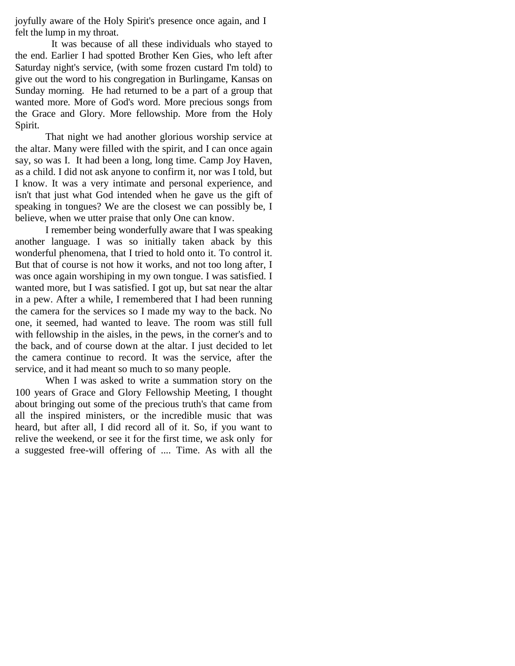joyfully aware of the Holy Spirit's presence once again, and I felt the lump in my throat.

It was because of all these individuals who stayed to the end. Earlier I had spotted Brother Ken Gies, who left after Saturday night's service, (with some frozen custard I'm told) to give out the word to his congregation in Burlingame, Kansas on Sunday morning. He had returned to be a part of a group that wanted more. More of God's word. More precious songs from the Grace and Glory. More fellowship. More from the Holy Spirit.

That night we had another glorious worship service at the altar. Many were filled with the spirit, and I can once again say, so was I. It had been a long, long time. Camp Joy Haven, as a child. I did not ask anyone to confirm it, nor was I told, but I know. It was a very intimate and personal experience, and isn't that just what God intended when he gave us the gift of speaking in tongues? We are the closest we can possibly be, I believe, when we utter praise that only One can know.

I remember being wonderfully aware that I was speaking another language. I was so initially taken aback by this wonderful phenomena, that I tried to hold onto it. To control it. But that of course is not how it works, and not too long after, I was once again worshiping in my own tongue. I was satisfied. I wanted more, but I was satisfied. I got up, but sat near the altar in a pew. After a while, I remembered that I had been running the camera for the services so I made my way to the back. No one, it seemed, had wanted to leave. The room was still full with fellowship in the aisles, in the pews, in the corner's and to the back, and of course down at the altar. I just decided to let the camera continue to record. It was the service, after the service, and it had meant so much to so many people.

When I was asked to write a summation story on the 100 years of Grace and Glory Fellowship Meeting, I thought about bringing out some of the precious truth's that came from all the inspired ministers, or the incredible music that was heard, but after all, I did record all of it. So, if you want to relive the weekend, or see it for the first time, we ask only for a suggested free-will offering of .... Time. As with all the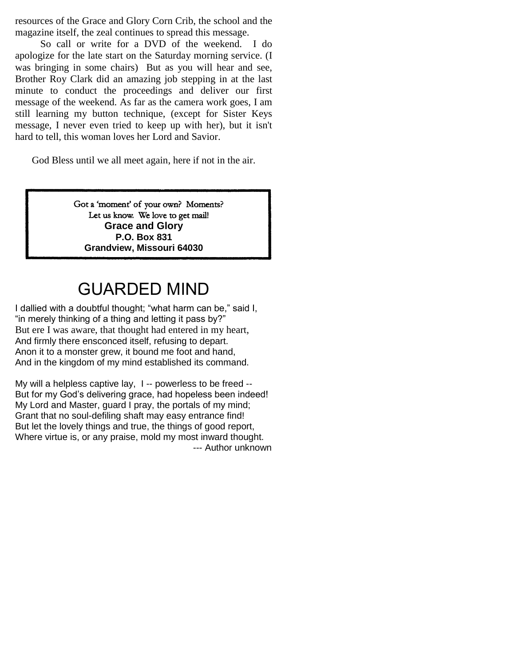resources of the Grace and Glory Corn Crib, the school and the magazine itself, the zeal continues to spread this message.

 So call or write for a DVD of the weekend. I do apologize for the late start on the Saturday morning service. (I was bringing in some chairs) But as you will hear and see, Brother Roy Clark did an amazing job stepping in at the last minute to conduct the proceedings and deliver our first message of the weekend. As far as the camera work goes, I am still learning my button technique, (except for Sister Keys message, I never even tried to keep up with her), but it isn't hard to tell, this woman loves her Lord and Savior.

God Bless until we all meet again, here if not in the air.

Got a 'moment' of your own? Moments? Let us know. We love to get mail! **Grace and Glory P.O. Box 831 Grandview, Missouri 64030**

# GUARDED MIND

I dallied with a doubtful thought; "what harm can be," said I, "in merely thinking of a thing and letting it pass by?" But ere I was aware, that thought had entered in my heart, And firmly there ensconced itself, refusing to depart. Anon it to a monster grew, it bound me foot and hand, And in the kingdom of my mind established its command.

My will a helpless captive lay, I -- powerless to be freed -- But for my God's delivering grace, had hopeless been indeed! My Lord and Master, guard I pray, the portals of my mind; Grant that no soul-defiling shaft may easy entrance find! But let the lovely things and true, the things of good report, Where virtue is, or any praise, mold my most inward thought. --- Author unknown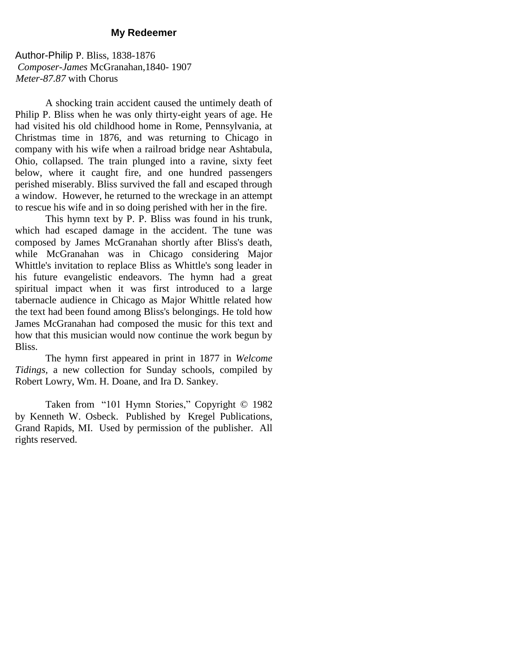#### **My Redeemer**

Author-Philip P. Bliss, 1838-1876 *Composer-James* McGranahan,1840- 1907 *Meter-87.87* with Chorus

A shocking train accident caused the untimely death of Philip P. Bliss when he was only thirty-eight years of age. He had visited his old childhood home in Rome, Pennsylvania, at Christmas time in 1876, and was returning to Chicago in company with his wife when a railroad bridge near Ashtabula, Ohio, collapsed. The train plunged into a ravine, sixty feet below, where it caught fire, and one hundred passengers perished miserably. Bliss survived the fall and escaped through a window. However, he returned to the wreckage in an attempt to rescue his wife and in so doing perished with her in the fire.

This hymn text by P. P. Bliss was found in his trunk, which had escaped damage in the accident. The tune was composed by James McGranahan shortly after Bliss's death, while McGranahan was in Chicago considering Major Whittle's invitation to replace Bliss as Whittle's song leader in his future evangelistic endeavors. The hymn had a great spiritual impact when it was first introduced to a large tabernacle audience in Chicago as Major Whittle related how the text had been found among Bliss's belongings. He told how James McGranahan had composed the music for this text and how that this musician would now continue the work begun by Bliss.

The hymn first appeared in print in 1877 in *Welcome Tidings,* a new collection for Sunday schools, compiled by Robert Lowry, Wm. H. Doane, and Ira D. Sankey.

Taken from "101 Hymn Stories," Copyright © 1982 by Kenneth W. Osbeck. Published by Kregel Publications, Grand Rapids, MI. Used by permission of the publisher. All rights reserved.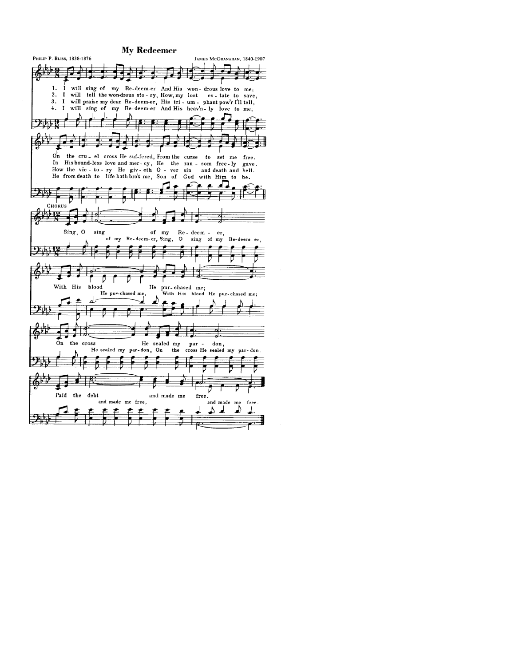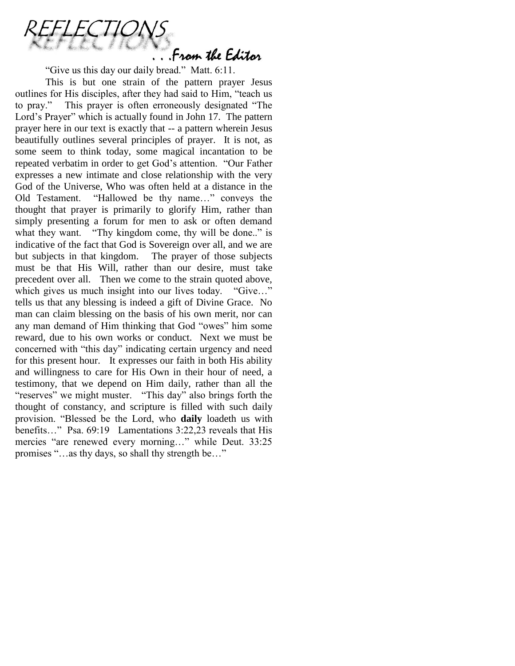. From the Editor

"Give us this day our daily bread." Matt. 6:11.

This is but one strain of the pattern prayer Jesus outlines for His disciples, after they had said to Him, "teach us to pray." This prayer is often erroneously designated "The Lord"s Prayer" which is actually found in John 17. The pattern prayer here in our text is exactly that -- a pattern wherein Jesus beautifully outlines several principles of prayer. It is not, as some seem to think today, some magical incantation to be repeated verbatim in order to get God"s attention. "Our Father expresses a new intimate and close relationship with the very God of the Universe, Who was often held at a distance in the Old Testament. "Hallowed be thy name…" conveys the thought that prayer is primarily to glorify Him, rather than simply presenting a forum for men to ask or often demand what they want. "Thy kingdom come, thy will be done.." is indicative of the fact that God is Sovereign over all, and we are but subjects in that kingdom. The prayer of those subjects must be that His Will, rather than our desire, must take precedent over all. Then we come to the strain quoted above, which gives us much insight into our lives today. "Give..." tells us that any blessing is indeed a gift of Divine Grace. No man can claim blessing on the basis of his own merit, nor can any man demand of Him thinking that God "owes" him some reward, due to his own works or conduct. Next we must be concerned with "this day" indicating certain urgency and need for this present hour. It expresses our faith in both His ability and willingness to care for His Own in their hour of need, a testimony, that we depend on Him daily, rather than all the "reserves" we might muster. "This day" also brings forth the thought of constancy, and scripture is filled with such daily provision. "Blessed be the Lord, who **daily** loadeth us with benefits…" Psa. 69:19 Lamentations 3:22,23 reveals that His mercies "are renewed every morning…" while Deut. 33:25 promises "…as thy days, so shall thy strength be…"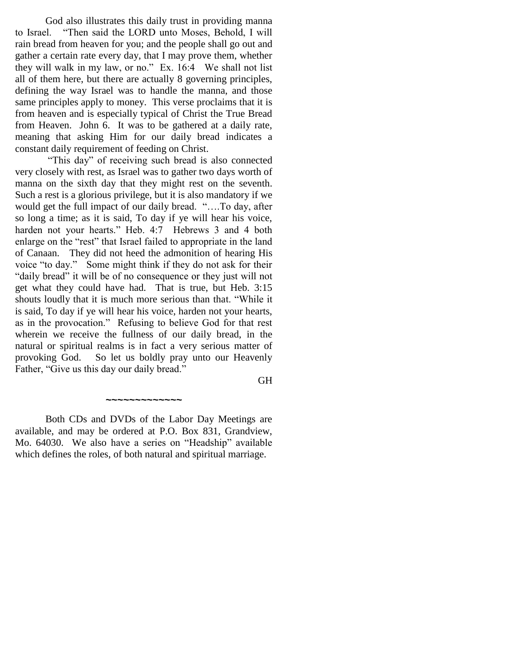God also illustrates this daily trust in providing manna to Israel. "Then said the LORD unto Moses, Behold, I will rain bread from heaven for you; and the people shall go out and gather a certain rate every day, that I may prove them, whether they will walk in my law, or no." Ex. 16:4 We shall not list all of them here, but there are actually 8 governing principles, defining the way Israel was to handle the manna, and those same principles apply to money. This verse proclaims that it is from heaven and is especially typical of Christ the True Bread from Heaven. John 6. It was to be gathered at a daily rate, meaning that asking Him for our daily bread indicates a constant daily requirement of feeding on Christ.

"This day" of receiving such bread is also connected very closely with rest, as Israel was to gather two days worth of manna on the sixth day that they might rest on the seventh. Such a rest is a glorious privilege, but it is also mandatory if we would get the full impact of our daily bread. "….To day, after so long a time; as it is said, To day if ye will hear his voice, harden not your hearts." Heb. 4:7 Hebrews 3 and 4 both enlarge on the "rest" that Israel failed to appropriate in the land of Canaan. They did not heed the admonition of hearing His voice "to day." Some might think if they do not ask for their "daily bread" it will be of no consequence or they just will not get what they could have had. That is true, but Heb. 3:15 shouts loudly that it is much more serious than that. "While it is said, To day if ye will hear his voice, harden not your hearts, as in the provocation." Refusing to believe God for that rest wherein we receive the fullness of our daily bread, in the natural or spiritual realms is in fact a very serious matter of provoking God. So let us boldly pray unto our Heavenly Father, "Give us this day our daily bread."

GH

Both CDs and DVDs of the Labor Day Meetings are available, and may be ordered at P.O. Box 831, Grandview, Mo. 64030. We also have a series on "Headship" available which defines the roles, of both natural and spiritual marriage.

*~~~~~~~~~~~~~*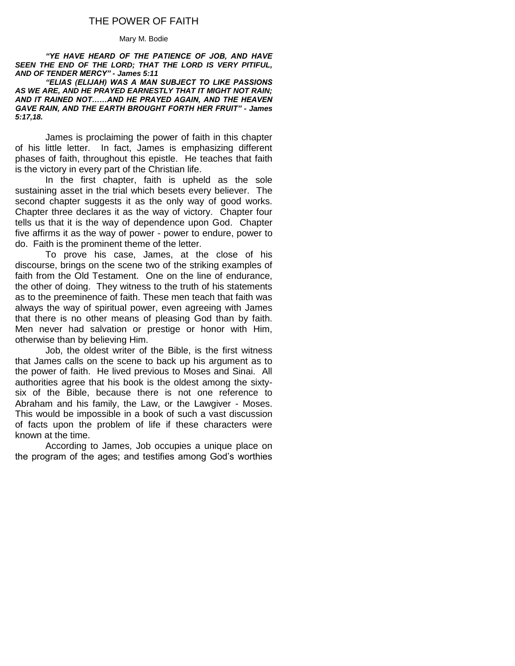## THE POWER OF FAITH

#### Mary M. Bodie

*"YE HAVE HEARD OF THE PATIENCE OF JOB, AND HAVE SEEN THE END OF THE LORD; THAT THE LORD IS VERY PITIFUL, AND OF TENDER MERCY" - James 5:11*

*"ELIAS (ELIJAH) WAS A MAN SUBJECT TO LIKE PASSIONS AS WE ARE, AND HE PRAYED EARNESTLY THAT IT MIGHT NOT RAIN; AND IT RAINED NOT……AND HE PRAYED AGAIN, AND THE HEAVEN GAVE RAIN, AND THE EARTH BROUGHT FORTH HER FRUIT" - James 5:17,18.*

James is proclaiming the power of faith in this chapter of his little letter. In fact, James is emphasizing different phases of faith, throughout this epistle. He teaches that faith is the victory in every part of the Christian life.

In the first chapter, faith is upheld as the sole sustaining asset in the trial which besets every believer. The second chapter suggests it as the only way of good works. Chapter three declares it as the way of victory. Chapter four tells us that it is the way of dependence upon God. Chapter five affirms it as the way of power - power to endure, power to do. Faith is the prominent theme of the letter.

To prove his case, James, at the close of his discourse, brings on the scene two of the striking examples of faith from the Old Testament. One on the line of endurance, the other of doing. They witness to the truth of his statements as to the preeminence of faith. These men teach that faith was always the way of spiritual power, even agreeing with James that there is no other means of pleasing God than by faith. Men never had salvation or prestige or honor with Him, otherwise than by believing Him.

Job, the oldest writer of the Bible, is the first witness that James calls on the scene to back up his argument as to the power of faith. He lived previous to Moses and Sinai. All authorities agree that his book is the oldest among the sixtysix of the Bible, because there is not one reference to Abraham and his family, the Law, or the Lawgiver - Moses. This would be impossible in a book of such a vast discussion of facts upon the problem of life if these characters were known at the time.

According to James, Job occupies a unique place on the program of the ages; and testifies among God's worthies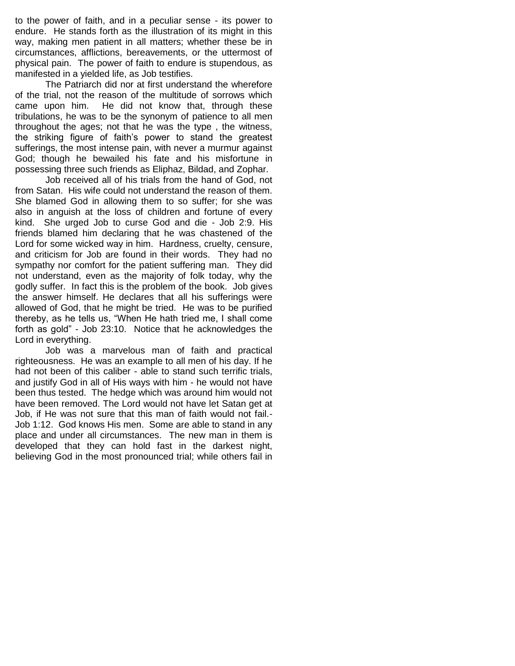to the power of faith, and in a peculiar sense - its power to endure. He stands forth as the illustration of its might in this way, making men patient in all matters; whether these be in circumstances, afflictions, bereavements, or the uttermost of physical pain. The power of faith to endure is stupendous, as manifested in a yielded life, as Job testifies.

The Patriarch did nor at first understand the wherefore of the trial, not the reason of the multitude of sorrows which came upon him. He did not know that, through these tribulations, he was to be the synonym of patience to all men throughout the ages; not that he was the type , the witness, the striking figure of faith's power to stand the greatest sufferings, the most intense pain, with never a murmur against God; though he bewailed his fate and his misfortune in possessing three such friends as Eliphaz, Bildad, and Zophar.

Job received all of his trials from the hand of God, not from Satan. His wife could not understand the reason of them. She blamed God in allowing them to so suffer; for she was also in anguish at the loss of children and fortune of every kind. She urged Job to curse God and die - Job 2:9. His friends blamed him declaring that he was chastened of the Lord for some wicked way in him. Hardness, cruelty, censure, and criticism for Job are found in their words. They had no sympathy nor comfort for the patient suffering man. They did not understand, even as the majority of folk today, why the godly suffer. In fact this is the problem of the book. Job gives the answer himself. He declares that all his sufferings were allowed of God, that he might be tried. He was to be purified thereby, as he tells us, "When He hath tried me, I shall come forth as gold" - Job 23:10. Notice that he acknowledges the Lord in everything.

Job was a marvelous man of faith and practical righteousness. He was an example to all men of his day. If he had not been of this caliber - able to stand such terrific trials, and justify God in all of His ways with him - he would not have been thus tested. The hedge which was around him would not have been removed. The Lord would not have let Satan get at Job, if He was not sure that this man of faith would not fail.- Job 1:12. God knows His men. Some are able to stand in any place and under all circumstances. The new man in them is developed that they can hold fast in the darkest night, believing God in the most pronounced trial; while others fail in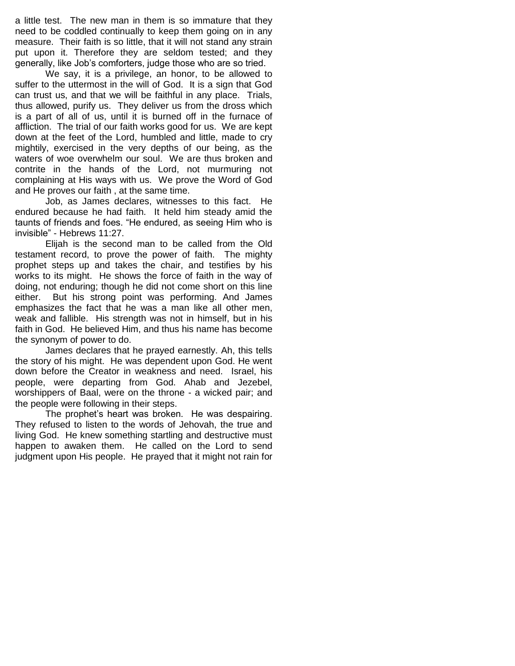a little test. The new man in them is so immature that they need to be coddled continually to keep them going on in any measure. Their faith is so little, that it will not stand any strain put upon it. Therefore they are seldom tested; and they generally, like Job's comforters, judge those who are so tried.

We say, it is a privilege, an honor, to be allowed to suffer to the uttermost in the will of God. It is a sign that God can trust us, and that we will be faithful in any place. Trials, thus allowed, purify us. They deliver us from the dross which is a part of all of us, until it is burned off in the furnace of affliction. The trial of our faith works good for us. We are kept down at the feet of the Lord, humbled and little, made to cry mightily, exercised in the very depths of our being, as the waters of woe overwhelm our soul. We are thus broken and contrite in the hands of the Lord, not murmuring not complaining at His ways with us. We prove the Word of God and He proves our faith , at the same time.

Job, as James declares, witnesses to this fact. He endured because he had faith. It held him steady amid the taunts of friends and foes. "He endured, as seeing Him who is invisible" - Hebrews 11:27.

Elijah is the second man to be called from the Old testament record, to prove the power of faith. The mighty prophet steps up and takes the chair, and testifies by his works to its might. He shows the force of faith in the way of doing, not enduring; though he did not come short on this line either. But his strong point was performing. And James emphasizes the fact that he was a man like all other men, weak and fallible. His strength was not in himself, but in his faith in God. He believed Him, and thus his name has become the synonym of power to do.

James declares that he prayed earnestly. Ah, this tells the story of his might. He was dependent upon God. He went down before the Creator in weakness and need. Israel, his people, were departing from God. Ahab and Jezebel, worshippers of Baal, were on the throne - a wicked pair; and the people were following in their steps.

The prophet's heart was broken. He was despairing. They refused to listen to the words of Jehovah, the true and living God. He knew something startling and destructive must happen to awaken them. He called on the Lord to send judgment upon His people. He prayed that it might not rain for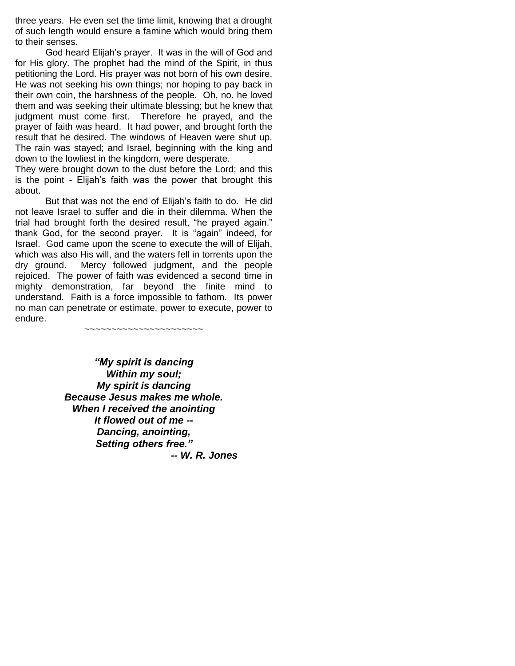three years. He even set the time limit, knowing that a drought of such length would ensure a famine which would bring them to their senses.

God heard Elijah's prayer. It was in the will of God and for His glory. The prophet had the mind of the Spirit, in thus petitioning the Lord. His prayer was not born of his own desire. He was not seeking his own things; nor hoping to pay back in their own coin, the harshness of the people. Oh, no. he loved them and was seeking their ultimate blessing; but he knew that judgment must come first. Therefore he prayed, and the prayer of faith was heard. It had power, and brought forth the result that he desired. The windows of Heaven were shut up. The rain was stayed; and Israel, beginning with the king and down to the lowliest in the kingdom, were desperate.

They were brought down to the dust before the Lord; and this is the point - Elijah's faith was the power that brought this about.

But that was not the end of Elijah's faith to do. He did not leave Israel to suffer and die in their dilemma. When the trial had brought forth the desired result, "he prayed again." thank God, for the second prayer. It is "again" indeed, for Israel. God came upon the scene to execute the will of Elijah, which was also His will, and the waters fell in torrents upon the dry ground. Mercy followed judgment, and the people rejoiced. The power of faith was evidenced a second time in mighty demonstration, far beyond the finite mind to understand. Faith is a force impossible to fathom. Its power no man can penetrate or estimate, power to execute, power to endure.

~~~~~~~~~~~~~~~~~~~~~~

*"My spirit is dancing Within my soul; My spirit is dancing Because Jesus makes me whole. When I received the anointing It flowed out of me -- Dancing, anointing, Setting others free." -- W. R. Jones*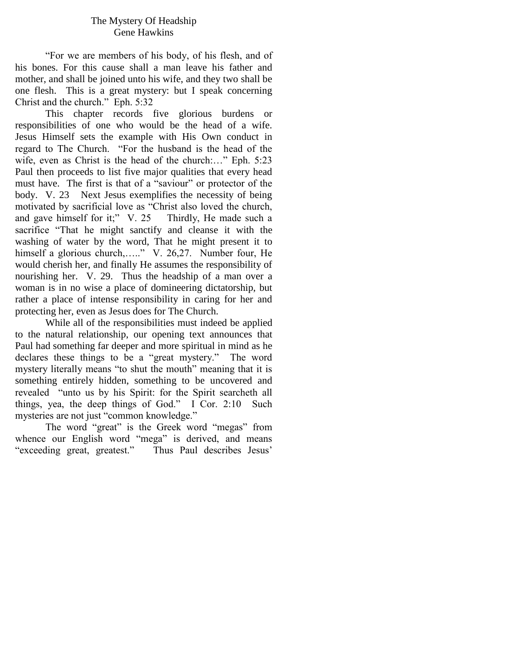## The Mystery Of Headship Gene Hawkins

"For we are members of his body, of his flesh, and of his bones. For this cause shall a man leave his father and mother, and shall be joined unto his wife, and they two shall be one flesh. This is a great mystery: but I speak concerning Christ and the church." Eph. 5:32

This chapter records five glorious burdens or responsibilities of one who would be the head of a wife. Jesus Himself sets the example with His Own conduct in regard to The Church. "For the husband is the head of the wife, even as Christ is the head of the church:..." Eph. 5:23 Paul then proceeds to list five major qualities that every head must have. The first is that of a "saviour" or protector of the body. V. 23 Next Jesus exemplifies the necessity of being motivated by sacrificial love as "Christ also loved the church, and gave himself for it;" V. 25 Thirdly, He made such a sacrifice "That he might sanctify and cleanse it with the washing of water by the word, That he might present it to himself a glorious church,....." V. 26,27. Number four, He would cherish her, and finally He assumes the responsibility of nourishing her. V. 29. Thus the headship of a man over a woman is in no wise a place of domineering dictatorship, but rather a place of intense responsibility in caring for her and protecting her, even as Jesus does for The Church.

While all of the responsibilities must indeed be applied to the natural relationship, our opening text announces that Paul had something far deeper and more spiritual in mind as he declares these things to be a "great mystery." The word mystery literally means "to shut the mouth" meaning that it is something entirely hidden, something to be uncovered and revealed "unto us by his Spirit: for the Spirit searcheth all things, yea, the deep things of God." I Cor. 2:10 Such mysteries are not just "common knowledge."

The word "great" is the Greek word "megas" from whence our English word "mega" is derived, and means "exceeding great, greatest." Thus Paul describes Jesus"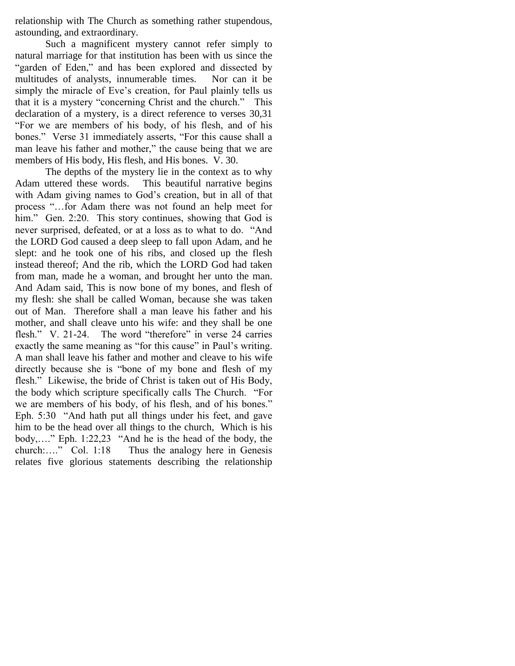relationship with The Church as something rather stupendous, astounding, and extraordinary.

Such a magnificent mystery cannot refer simply to natural marriage for that institution has been with us since the "garden of Eden," and has been explored and dissected by multitudes of analysts, innumerable times. Nor can it be simply the miracle of Eve's creation, for Paul plainly tells us that it is a mystery "concerning Christ and the church." This declaration of a mystery, is a direct reference to verses 30,31 "For we are members of his body, of his flesh, and of his bones." Verse 31 immediately asserts, "For this cause shall a man leave his father and mother," the cause being that we are members of His body, His flesh, and His bones. V. 30.

The depths of the mystery lie in the context as to why Adam uttered these words. This beautiful narrative begins with Adam giving names to God's creation, but in all of that process "…for Adam there was not found an help meet for him." Gen. 2:20. This story continues, showing that God is never surprised, defeated, or at a loss as to what to do. "And the LORD God caused a deep sleep to fall upon Adam, and he slept: and he took one of his ribs, and closed up the flesh instead thereof; And the rib, which the LORD God had taken from man, made he a woman, and brought her unto the man. And Adam said, This is now bone of my bones, and flesh of my flesh: she shall be called Woman, because she was taken out of Man. Therefore shall a man leave his father and his mother, and shall cleave unto his wife: and they shall be one flesh." V. 21-24. The word "therefore" in verse 24 carries exactly the same meaning as "for this cause" in Paul's writing. A man shall leave his father and mother and cleave to his wife directly because she is "bone of my bone and flesh of my flesh." Likewise, the bride of Christ is taken out of His Body, the body which scripture specifically calls The Church. "For we are members of his body, of his flesh, and of his bones." Eph. 5:30 "And hath put all things under his feet, and gave him to be the head over all things to the church, Which is his body,…." Eph. 1:22,23 "And he is the head of the body, the church:…." Col. 1:18 Thus the analogy here in Genesis relates five glorious statements describing the relationship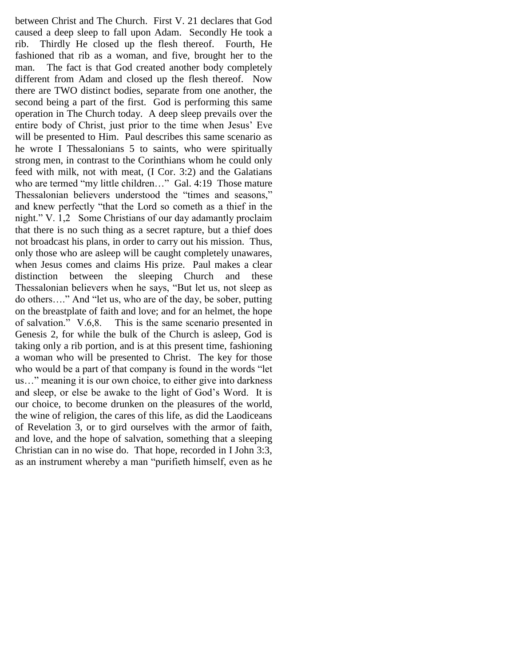between Christ and The Church. First V. 21 declares that God caused a deep sleep to fall upon Adam. Secondly He took a rib. Thirdly He closed up the flesh thereof. Fourth, He fashioned that rib as a woman, and five, brought her to the man. The fact is that God created another body completely different from Adam and closed up the flesh thereof. Now there are TWO distinct bodies, separate from one another, the second being a part of the first. God is performing this same operation in The Church today. A deep sleep prevails over the entire body of Christ, just prior to the time when Jesus" Eve will be presented to Him. Paul describes this same scenario as he wrote I Thessalonians 5 to saints, who were spiritually strong men, in contrast to the Corinthians whom he could only feed with milk, not with meat, (I Cor. 3:2) and the Galatians who are termed "my little children..." Gal. 4:19 Those mature Thessalonian believers understood the "times and seasons," and knew perfectly "that the Lord so cometh as a thief in the night." V. 1,2 Some Christians of our day adamantly proclaim that there is no such thing as a secret rapture, but a thief does not broadcast his plans, in order to carry out his mission. Thus, only those who are asleep will be caught completely unawares, when Jesus comes and claims His prize. Paul makes a clear distinction between the sleeping Church and these Thessalonian believers when he says, "But let us, not sleep as do others…." And "let us, who are of the day, be sober, putting on the breastplate of faith and love; and for an helmet, the hope of salvation." V.6,8. This is the same scenario presented in Genesis 2, for while the bulk of the Church is asleep, God is taking only a rib portion, and is at this present time, fashioning a woman who will be presented to Christ. The key for those who would be a part of that company is found in the words "let us…" meaning it is our own choice, to either give into darkness and sleep, or else be awake to the light of God"s Word. It is our choice, to become drunken on the pleasures of the world, the wine of religion, the cares of this life, as did the Laodiceans of Revelation 3, or to gird ourselves with the armor of faith, and love, and the hope of salvation, something that a sleeping Christian can in no wise do. That hope, recorded in I John 3:3, as an instrument whereby a man "purifieth himself, even as he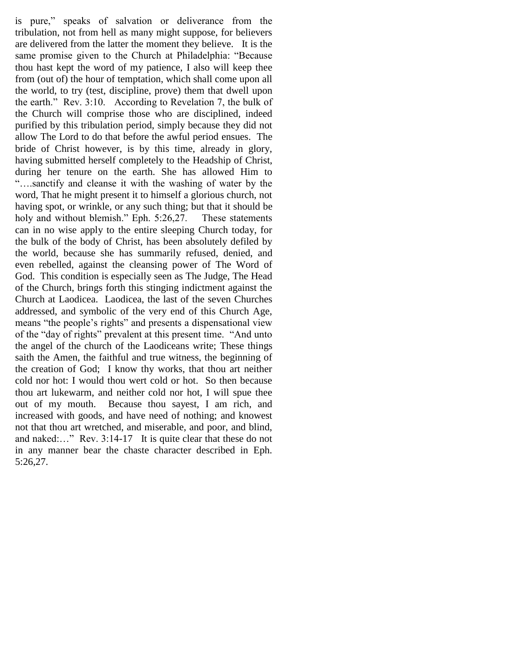is pure," speaks of salvation or deliverance from the tribulation, not from hell as many might suppose, for believers are delivered from the latter the moment they believe. It is the same promise given to the Church at Philadelphia: "Because thou hast kept the word of my patience, I also will keep thee from (out of) the hour of temptation, which shall come upon all the world, to try (test, discipline, prove) them that dwell upon the earth." Rev. 3:10. According to Revelation 7, the bulk of the Church will comprise those who are disciplined, indeed purified by this tribulation period, simply because they did not allow The Lord to do that before the awful period ensues. The bride of Christ however, is by this time, already in glory, having submitted herself completely to the Headship of Christ, during her tenure on the earth. She has allowed Him to "….sanctify and cleanse it with the washing of water by the word, That he might present it to himself a glorious church, not having spot, or wrinkle, or any such thing; but that it should be holy and without blemish." Eph. 5:26,27. These statements can in no wise apply to the entire sleeping Church today, for the bulk of the body of Christ, has been absolutely defiled by the world, because she has summarily refused, denied, and even rebelled, against the cleansing power of The Word of God. This condition is especially seen as The Judge, The Head of the Church, brings forth this stinging indictment against the Church at Laodicea. Laodicea, the last of the seven Churches addressed, and symbolic of the very end of this Church Age, means "the people"s rights" and presents a dispensational view of the "day of rights" prevalent at this present time. "And unto the angel of the church of the Laodiceans write; These things saith the Amen, the faithful and true witness, the beginning of the creation of God; I know thy works, that thou art neither cold nor hot: I would thou wert cold or hot. So then because thou art lukewarm, and neither cold nor hot, I will spue thee out of my mouth. Because thou sayest, I am rich, and increased with goods, and have need of nothing; and knowest not that thou art wretched, and miserable, and poor, and blind, and naked:…" Rev. 3:14-17 It is quite clear that these do not in any manner bear the chaste character described in Eph. 5:26,27.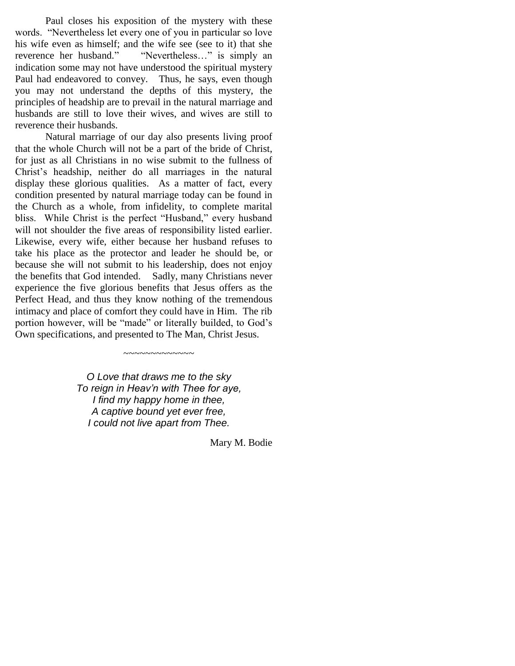Paul closes his exposition of the mystery with these words. "Nevertheless let every one of you in particular so love his wife even as himself; and the wife see (see to it) that she reverence her husband." "Nevertheless…" is simply an indication some may not have understood the spiritual mystery Paul had endeavored to convey. Thus, he says, even though you may not understand the depths of this mystery, the principles of headship are to prevail in the natural marriage and husbands are still to love their wives, and wives are still to reverence their husbands.

Natural marriage of our day also presents living proof that the whole Church will not be a part of the bride of Christ, for just as all Christians in no wise submit to the fullness of Christ"s headship, neither do all marriages in the natural display these glorious qualities. As a matter of fact, every condition presented by natural marriage today can be found in the Church as a whole, from infidelity, to complete marital bliss. While Christ is the perfect "Husband," every husband will not shoulder the five areas of responsibility listed earlier. Likewise, every wife, either because her husband refuses to take his place as the protector and leader he should be, or because she will not submit to his leadership, does not enjoy the benefits that God intended. Sadly, many Christians never experience the five glorious benefits that Jesus offers as the Perfect Head, and thus they know nothing of the tremendous intimacy and place of comfort they could have in Him. The rib portion however, will be "made" or literally builded, to God"s Own specifications, and presented to The Man, Christ Jesus.

> *O Love that draws me to the sky To reign in Heav'n with Thee for aye, I find my happy home in thee, A captive bound yet ever free, I could not live apart from Thee.*

 $\sim\sim\sim\sim\sim\sim\sim\sim\sim\sim\sim$ 

Mary M. Bodie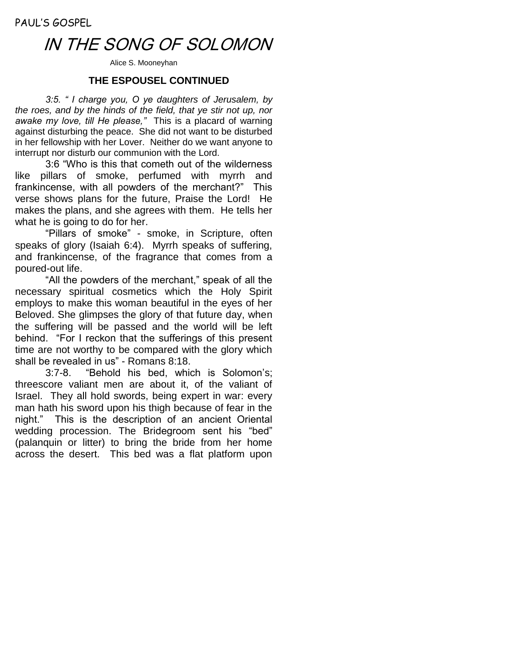## IN THE SONG OF SOLOMON

Alice S. Mooneyhan

## **THE ESPOUSEL CONTINUED**

*3:5. " I charge you, O ye daughters of Jerusalem, by the roes, and by the hinds of the field, that ye stir not up, nor awake my love, till He please,"* This is a placard of warning against disturbing the peace. She did not want to be disturbed in her fellowship with her Lover. Neither do we want anyone to interrupt nor disturb our communion with the Lord.

3:6 "Who is this that cometh out of the wilderness like pillars of smoke, perfumed with myrrh and frankincense, with all powders of the merchant?" This verse shows plans for the future, Praise the Lord! He makes the plans, and she agrees with them. He tells her what he is going to do for her.

"Pillars of smoke" - smoke, in Scripture, often speaks of glory (Isaiah 6:4). Myrrh speaks of suffering, and frankincense, of the fragrance that comes from a poured-out life.

"All the powders of the merchant," speak of all the necessary spiritual cosmetics which the Holy Spirit employs to make this woman beautiful in the eyes of her Beloved. She glimpses the glory of that future day, when the suffering will be passed and the world will be left behind. "For I reckon that the sufferings of this present time are not worthy to be compared with the glory which shall be revealed in us" - Romans 8:18.

3:7-8. "Behold his bed, which is Solomon's; threescore valiant men are about it, of the valiant of Israel. They all hold swords, being expert in war: every man hath his sword upon his thigh because of fear in the night." This is the description of an ancient Oriental wedding procession. The Bridegroom sent his "bed" (palanquin or litter) to bring the bride from her home across the desert. This bed was a flat platform upon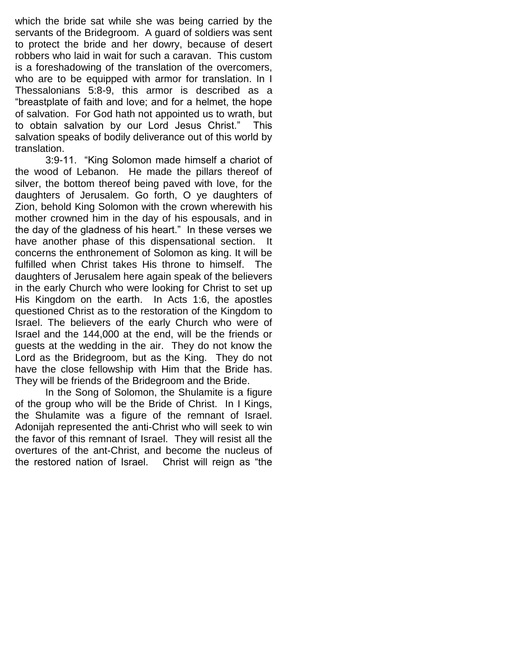which the bride sat while she was being carried by the servants of the Bridegroom. A guard of soldiers was sent to protect the bride and her dowry, because of desert robbers who laid in wait for such a caravan. This custom is a foreshadowing of the translation of the overcomers, who are to be equipped with armor for translation. In I Thessalonians 5:8-9, this armor is described as a "breastplate of faith and love; and for a helmet, the hope of salvation. For God hath not appointed us to wrath, but to obtain salvation by our Lord Jesus Christ." This salvation speaks of bodily deliverance out of this world by translation.

3:9-11. "King Solomon made himself a chariot of the wood of Lebanon. He made the pillars thereof of silver, the bottom thereof being paved with love, for the daughters of Jerusalem. Go forth, O ye daughters of Zion, behold King Solomon with the crown wherewith his mother crowned him in the day of his espousals, and in the day of the gladness of his heart." In these verses we have another phase of this dispensational section. It concerns the enthronement of Solomon as king. It will be fulfilled when Christ takes His throne to himself. The daughters of Jerusalem here again speak of the believers in the early Church who were looking for Christ to set up His Kingdom on the earth. In Acts 1:6, the apostles questioned Christ as to the restoration of the Kingdom to Israel. The believers of the early Church who were of Israel and the 144,000 at the end, will be the friends or guests at the wedding in the air. They do not know the Lord as the Bridegroom, but as the King. They do not have the close fellowship with Him that the Bride has. They will be friends of the Bridegroom and the Bride.

In the Song of Solomon, the Shulamite is a figure of the group who will be the Bride of Christ. In I Kings, the Shulamite was a figure of the remnant of Israel. Adonijah represented the anti-Christ who will seek to win the favor of this remnant of Israel. They will resist all the overtures of the ant-Christ, and become the nucleus of the restored nation of Israel. Christ will reign as "the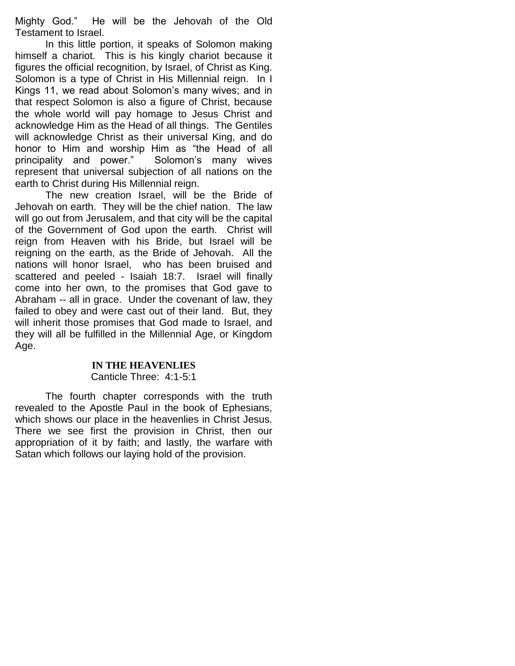Mighty God." He will be the Jehovah of the Old Testament to Israel.

In this little portion, it speaks of Solomon making himself a chariot. This is his kingly chariot because it figures the official recognition, by Israel, of Christ as King. Solomon is a type of Christ in His Millennial reign. In I Kings 11, we read about Solomon's many wives; and in that respect Solomon is also a figure of Christ, because the whole world will pay homage to Jesus Christ and acknowledge Him as the Head of all things. The Gentiles will acknowledge Christ as their universal King, and do honor to Him and worship Him as "the Head of all principality and power." Solomon's many wives represent that universal subjection of all nations on the earth to Christ during His Millennial reign.

The new creation Israel, will be the Bride of Jehovah on earth. They will be the chief nation. The law will go out from Jerusalem, and that city will be the capital of the Government of God upon the earth. Christ will reign from Heaven with his Bride, but Israel will be reigning on the earth, as the Bride of Jehovah. All the nations will honor Israel, who has been bruised and scattered and peeled - Isaiah 18:7. Israel will finally come into her own, to the promises that God gave to Abraham -- all in grace. Under the covenant of law, they failed to obey and were cast out of their land. But, they will inherit those promises that God made to Israel, and they will all be fulfilled in the Millennial Age, or Kingdom Age.

#### **IN THE HEAVENLIES**

## Canticle Three: 4:1-5:1

The fourth chapter corresponds with the truth revealed to the Apostle Paul in the book of Ephesians, which shows our place in the heavenlies in Christ Jesus. There we see first the provision in Christ, then our appropriation of it by faith; and lastly, the warfare with Satan which follows our laying hold of the provision.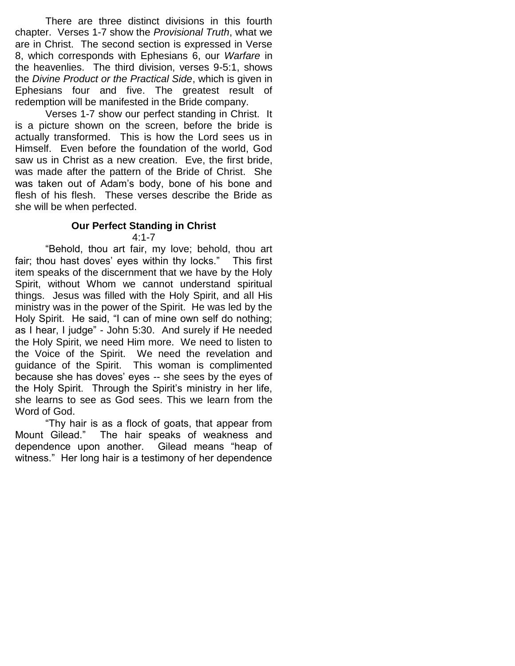There are three distinct divisions in this fourth chapter. Verses 1-7 show the *Provisional Truth*, what we are in Christ. The second section is expressed in Verse 8, which corresponds with Ephesians 6, our *Warfare* in the heavenlies. The third division, verses 9-5:1, shows the *Divine Product or the Practical Side*, which is given in Ephesians four and five. The greatest result of redemption will be manifested in the Bride company.

Verses 1-7 show our perfect standing in Christ. It is a picture shown on the screen, before the bride is actually transformed. This is how the Lord sees us in Himself. Even before the foundation of the world, God saw us in Christ as a new creation. Eve, the first bride, was made after the pattern of the Bride of Christ. She was taken out of Adam's body, bone of his bone and flesh of his flesh. These verses describe the Bride as she will be when perfected.

## **Our Perfect Standing in Christ**

4:1-7

"Behold, thou art fair, my love; behold, thou art fair; thou hast doves' eyes within thy locks." This first item speaks of the discernment that we have by the Holy Spirit, without Whom we cannot understand spiritual things. Jesus was filled with the Holy Spirit, and all His ministry was in the power of the Spirit. He was led by the Holy Spirit. He said, "I can of mine own self do nothing; as I hear, I judge" - John 5:30. And surely if He needed the Holy Spirit, we need Him more. We need to listen to the Voice of the Spirit. We need the revelation and guidance of the Spirit. This woman is complimented because she has doves' eyes -- she sees by the eyes of the Holy Spirit. Through the Spirit's ministry in her life, she learns to see as God sees. This we learn from the Word of God.

"Thy hair is as a flock of goats, that appear from Mount Gilead." The hair speaks of weakness and dependence upon another. Gilead means "heap of witness." Her long hair is a testimony of her dependence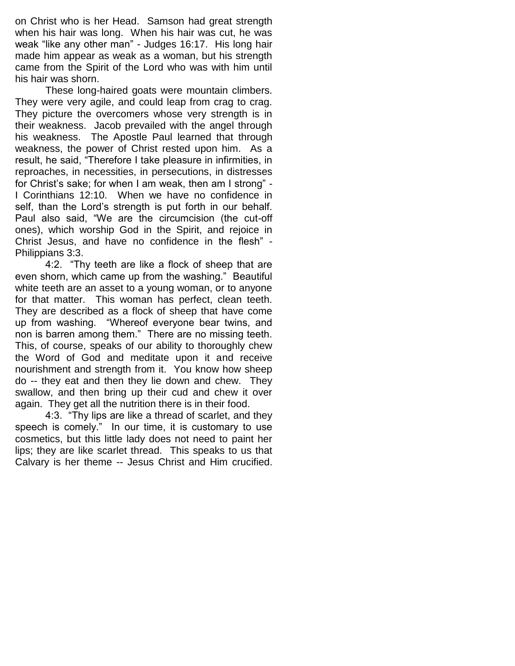on Christ who is her Head. Samson had great strength when his hair was long. When his hair was cut, he was weak "like any other man" - Judges 16:17. His long hair made him appear as weak as a woman, but his strength came from the Spirit of the Lord who was with him until his hair was shorn.

These long-haired goats were mountain climbers. They were very agile, and could leap from crag to crag. They picture the overcomers whose very strength is in their weakness. Jacob prevailed with the angel through his weakness. The Apostle Paul learned that through weakness, the power of Christ rested upon him. As a result, he said, "Therefore I take pleasure in infirmities, in reproaches, in necessities, in persecutions, in distresses for Christ's sake; for when I am weak, then am I strong" - I Corinthians 12:10. When we have no confidence in self, than the Lord's strength is put forth in our behalf. Paul also said, "We are the circumcision (the cut-off ones), which worship God in the Spirit, and rejoice in Christ Jesus, and have no confidence in the flesh" - Philippians 3:3.

4:2. "Thy teeth are like a flock of sheep that are even shorn, which came up from the washing." Beautiful white teeth are an asset to a young woman, or to anyone for that matter. This woman has perfect, clean teeth. They are described as a flock of sheep that have come up from washing. "Whereof everyone bear twins, and non is barren among them." There are no missing teeth. This, of course, speaks of our ability to thoroughly chew the Word of God and meditate upon it and receive nourishment and strength from it. You know how sheep do -- they eat and then they lie down and chew. They swallow, and then bring up their cud and chew it over again. They get all the nutrition there is in their food.

4:3. "Thy lips are like a thread of scarlet, and they speech is comely." In our time, it is customary to use cosmetics, but this little lady does not need to paint her lips; they are like scarlet thread. This speaks to us that Calvary is her theme -- Jesus Christ and Him crucified.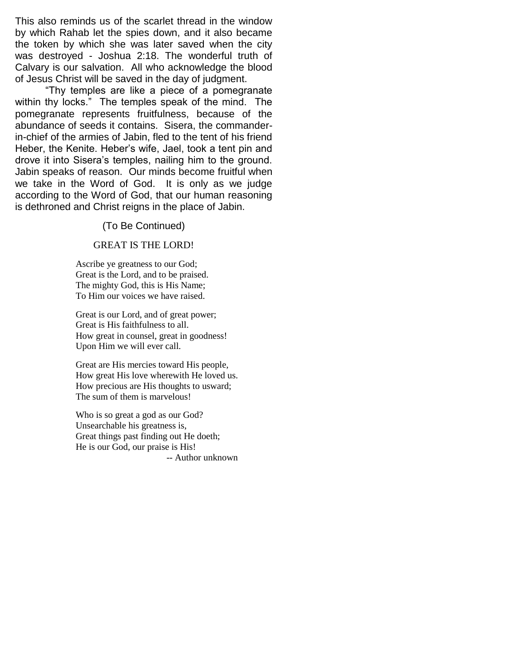This also reminds us of the scarlet thread in the window by which Rahab let the spies down, and it also became the token by which she was later saved when the city was destroyed - Joshua 2:18. The wonderful truth of Calvary is our salvation. All who acknowledge the blood of Jesus Christ will be saved in the day of judgment.

"Thy temples are like a piece of a pomegranate within thy locks." The temples speak of the mind. The pomegranate represents fruitfulness, because of the abundance of seeds it contains. Sisera, the commanderin-chief of the armies of Jabin, fled to the tent of his friend Heber, the Kenite. Heber's wife, Jael, took a tent pin and drove it into Sisera's temples, nailing him to the ground. Jabin speaks of reason. Our minds become fruitful when we take in the Word of God. It is only as we judge according to the Word of God, that our human reasoning is dethroned and Christ reigns in the place of Jabin.

## (To Be Continued)

### GREAT IS THE LORD!

 Ascribe ye greatness to our God; Great is the Lord, and to be praised. The mighty God, this is His Name; To Him our voices we have raised.

 Great is our Lord, and of great power; Great is His faithfulness to all. How great in counsel, great in goodness! Upon Him we will ever call.

Great are His mercies toward His people, How great His love wherewith He loved us. How precious are His thoughts to usward; The sum of them is marvelous!

Who is so great a god as our God? Unsearchable his greatness is, Great things past finding out He doeth; He is our God, our praise is His! -- Author unknown